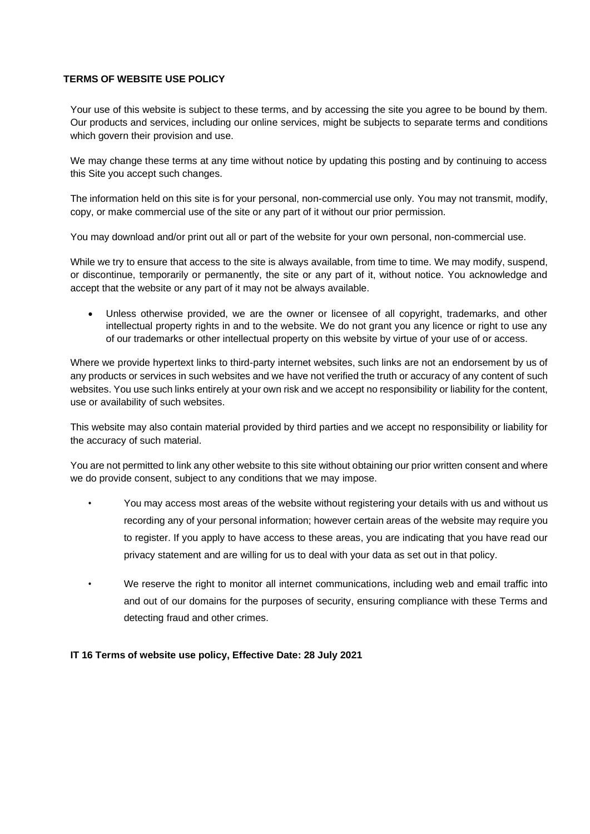## **TERMS OF WEBSITE USE POLICY**

Your use of this website is subject to these terms, and by accessing the site you agree to be bound by them. Our products and services, including our online services, might be subjects to separate terms and conditions which govern their provision and use.

We may change these terms at any time without notice by updating this posting and by continuing to access this Site you accept such changes.

The information held on this site is for your personal, non-commercial use only. You may not transmit, modify, copy, or make commercial use of the site or any part of it without our prior permission.

You may download and/or print out all or part of the website for your own personal, non-commercial use.

While we try to ensure that access to the site is always available, from time to time. We may modify, suspend, or discontinue, temporarily or permanently, the site or any part of it, without notice. You acknowledge and accept that the website or any part of it may not be always available.

• Unless otherwise provided, we are the owner or licensee of all copyright, trademarks, and other intellectual property rights in and to the website. We do not grant you any licence or right to use any of our trademarks or other intellectual property on this website by virtue of your use of or access.

Where we provide hypertext links to third-party internet websites, such links are not an endorsement by us of any products or services in such websites and we have not verified the truth or accuracy of any content of such websites. You use such links entirely at your own risk and we accept no responsibility or liability for the content, use or availability of such websites.

This website may also contain material provided by third parties and we accept no responsibility or liability for the accuracy of such material.

You are not permitted to link any other website to this site without obtaining our prior written consent and where we do provide consent, subject to any conditions that we may impose.

- You may access most areas of the website without registering your details with us and without us recording any of your personal information; however certain areas of the website may require you to register. If you apply to have access to these areas, you are indicating that you have read our privacy statement and are willing for us to deal with your data as set out in that policy.
- We reserve the right to monitor all internet communications, including web and email traffic into and out of our domains for the purposes of security, ensuring compliance with these Terms and detecting fraud and other crimes.

## **IT 16 Terms of website use policy, Effective Date: 28 July 2021**